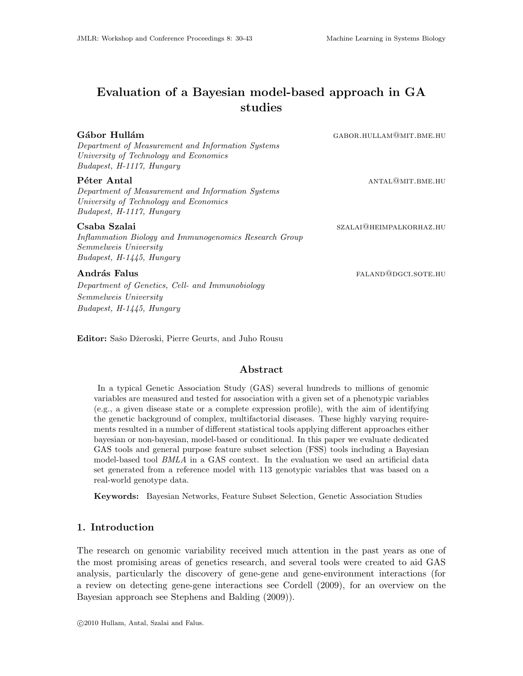# Evaluation of a Bayesian model-based approach in GA studies

Gábor Hullám GABOR.HULLAM@MIT.BME.HU

*Department of Measurement and Information Systems University of Technology and Economics Budapest, H-1117, Hungary*

*Department of Measurement and Information Systems University of Technology and Economics Budapest, H-1117, Hungary*

*Inflammation Biology and Immunogenomics Research Group Semmelweis University Budapest, H-1445, Hungary*

*Department of Genetics, Cell- and Immunobiology Semmelweis University Budapest, H-1445, Hungary*

Editor: Sašo Džeroski, Pierre Geurts, and Juho Rousu

### Abstract

In a typical Genetic Association Study (GAS) several hundreds to millions of genomic variables are measured and tested for association with a given set of a phenotypic variables (e.g., a given disease state or a complete expression profile), with the aim of identifying the genetic background of complex, multifactorial diseases. These highly varying requirements resulted in a number of different statistical tools applying different approaches either bayesian or non-bayesian, model-based or conditional. In this paper we evaluate dedicated GAS tools and general purpose feature subset selection (FSS) tools including a Bayesian model-based tool *BMLA* in a GAS context. In the evaluation we used an artificial data set generated from a reference model with 113 genotypic variables that was based on a real-world genotype data.

Keywords: Bayesian Networks, Feature Subset Selection, Genetic Association Studies

## 1. Introduction

The research on genomic variability received much attention in the past years as one of the most promising areas of genetics research, and several tools were created to aid GAS analysis, particularly the discovery of gene-gene and gene-environment interactions (for a review on detecting gene-gene interactions see Cordell (2009), for an overview on the Bayesian approach see Stephens and Balding (2009)).

**P**éter Antal antal antal antal antal antal antal antal antal antal antal antal antal antal antal antal antal antal antal antal antal antal antal antal antal antal antal antal antal antal antal antal antal antal antal anta

Csaba Szalai szalai szalai szalai szalai szalai szalai szalai szalai szalai szalai szalai szalai szalai szalai

András Falus falus factors and the set of the set of the set of the set of the set of the set of the set of the set of the set of the set of the set of the set of the set of the set of the set of the set of the set of the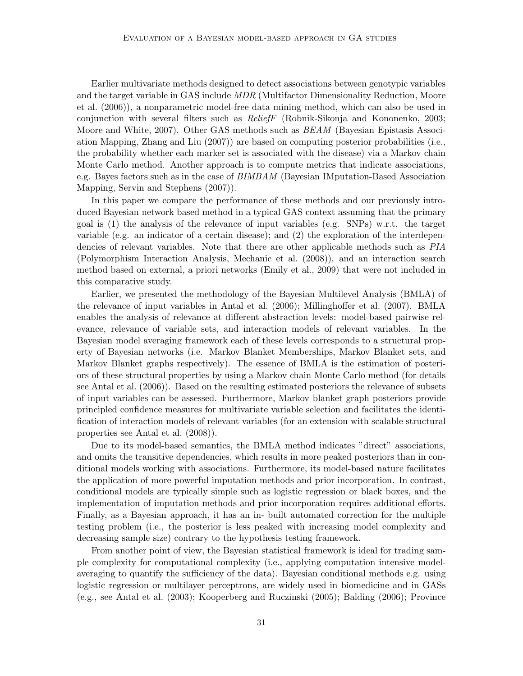Earlier multivariate methods designed to detect associations between genotypic variables and the target variable in GAS include *MDR* (Multifactor Dimensionality Reduction, Moore et al. (2006)), a nonparametric model-free data mining method, which can also be used in conjunction with several filters such as *ReliefF* (Robnik-Sikonja and Kononenko, 2003; Moore and White, 2007). Other GAS methods such as *BEAM* (Bayesian Epistasis Association Mapping, Zhang and Liu (2007)) are based on computing posterior probabilities (i.e., the probability whether each marker set is associated with the disease) via a Markov chain Monte Carlo method. Another approach is to compute metrics that indicate associations, e.g. Bayes factors such as in the case of *BIMBAM* (Bayesian IMputation-Based Association Mapping, Servin and Stephens (2007)).

In this paper we compare the performance of these methods and our previously introduced Bayesian network based method in a typical GAS context assuming that the primary goal is (1) the analysis of the relevance of input variables (e.g. SNPs) w.r.t. the target variable (e.g. an indicator of a certain disease); and (2) the exploration of the interdependencies of relevant variables. Note that there are other applicable methods such as *PIA* (Polymorphism Interaction Analysis, Mechanic et al. (2008)), and an interaction search method based on external, a priori networks (Emily et al., 2009) that were not included in this comparative study.

Earlier, we presented the methodology of the Bayesian Multilevel Analysis (BMLA) of the relevance of input variables in Antal et al. (2006); Millinghoffer et al. (2007). BMLA enables the analysis of relevance at different abstraction levels: model-based pairwise relevance, relevance of variable sets, and interaction models of relevant variables. In the Bayesian model averaging framework each of these levels corresponds to a structural property of Bayesian networks (i.e. Markov Blanket Memberships, Markov Blanket sets, and Markov Blanket graphs respectively). The essence of BMLA is the estimation of posteriors of these structural properties by using a Markov chain Monte Carlo method (for details see Antal et al. (2006)). Based on the resulting estimated posteriors the relevance of subsets of input variables can be assessed. Furthermore, Markov blanket graph posteriors provide principled confidence measures for multivariate variable selection and facilitates the identification of interaction models of relevant variables (for an extension with scalable structural properties see Antal et al. (2008)).

Due to its model-based semantics, the BMLA method indicates "direct" associations, and omits the transitive dependencies, which results in more peaked posteriors than in conditional models working with associations. Furthermore, its model-based nature facilitates the application of more powerful imputation methods and prior incorporation. In contrast, conditional models are typically simple such as logistic regression or black boxes, and the implementation of imputation methods and prior incorporation requires additional efforts. Finally, as a Bayesian approach, it has an in- built automated correction for the multiple testing problem (i.e., the posterior is less peaked with increasing model complexity and decreasing sample size) contrary to the hypothesis testing framework.

From another point of view, the Bayesian statistical framework is ideal for trading sample complexity for computational complexity (i.e., applying computation intensive modelaveraging to quantify the sufficiency of the data). Bayesian conditional methods e.g. using logistic regression or multilayer perceptrons, are widely used in biomedicine and in GASs (e.g., see Antal et al. (2003); Kooperberg and Ruczinski (2005); Balding (2006); Province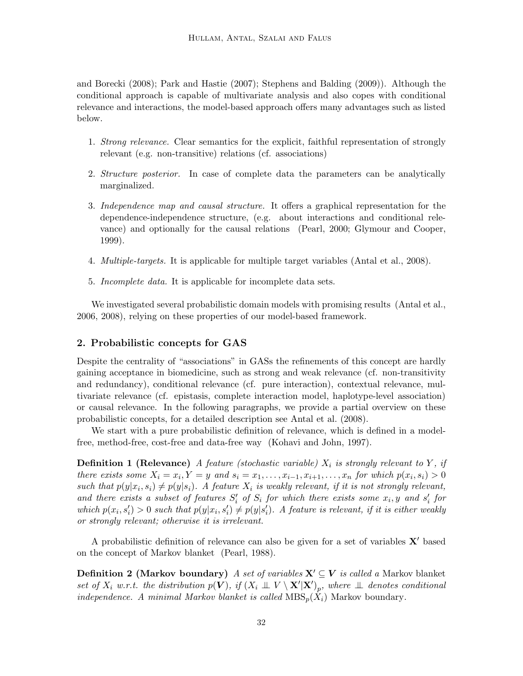and Borecki (2008); Park and Hastie (2007); Stephens and Balding (2009)). Although the conditional approach is capable of multivariate analysis and also copes with conditional relevance and interactions, the model-based approach offers many advantages such as listed below.

- 1. *Strong relevance.* Clear semantics for the explicit, faithful representation of strongly relevant (e.g. non-transitive) relations (cf. associations)
- 2. *Structure posterior.* In case of complete data the parameters can be analytically marginalized.
- 3. *Independence map and causal structure.* It offers a graphical representation for the dependence-independence structure, (e.g. about interactions and conditional relevance) and optionally for the causal relations (Pearl, 2000; Glymour and Cooper, 1999).
- 4. *Multiple-targets.* It is applicable for multiple target variables (Antal et al., 2008).
- 5. *Incomplete data.* It is applicable for incomplete data sets.

We investigated several probabilistic domain models with promising results (Antal et al., 2006, 2008), relying on these properties of our model-based framework.

### 2. Probabilistic concepts for GAS

Despite the centrality of "associations" in GASs the refinements of this concept are hardly gaining acceptance in biomedicine, such as strong and weak relevance (cf. non-transitivity and redundancy), conditional relevance (cf. pure interaction), contextual relevance, multivariate relevance (cf. epistasis, complete interaction model, haplotype-level association) or causal relevance. In the following paragraphs, we provide a partial overview on these probabilistic concepts, for a detailed description see Antal et al. (2008).

We start with a pure probabilistic definition of relevance, which is defined in a modelfree, method-free, cost-free and data-free way (Kohavi and John, 1997).

**Definition 1 (Relevance)** A feature (stochastic variable)  $X_i$  is strongly relevant to  $Y$ , if *there exists some*  $X_i = x_i, Y = y$  *and*  $s_i = x_1, \ldots, x_{i-1}, x_{i+1}, \ldots, x_n$  *for which*  $p(x_i, s_i) > 0$ such that  $p(y|x_i, s_i) \neq p(y|s_i)$ . A feature  $X_i$  is weakly relevant, if it is not strongly relevant, and there exists a subset of features  $S_i'$  of  $S_i$  for which there exists some  $x_i, y$  and  $s_i'$  for which  $p(x_i, s'_i) > 0$  such that  $p(y|x_i, s'_i) \neq p(y|s'_i)$ . A feature is relevant, if it is either weakly *or strongly relevant; otherwise it is irrelevant.*

A probabilistic definition of relevance can also be given for a set of variables X′ based on the concept of Markov blanket (Pearl, 1988).

Definition 2 (Markov boundary) *A set of variables* X′ ⊆ V *is called a* Markov blanket  $\mathcal{L}$  *set of*  $X_i$  *w.r.t. the distribution*  $p(\mathbf{V})$ *, if*  $(X_i \perp\!\!\!\perp V \setminus \mathbf{X}' | \mathbf{X}')_p$ *, where*  $\perp\!\!\!\perp$  *denotes conditional independence. A minimal Markov blanket is called*  $MBS_p(\tilde{X}_i)$  Markov boundary.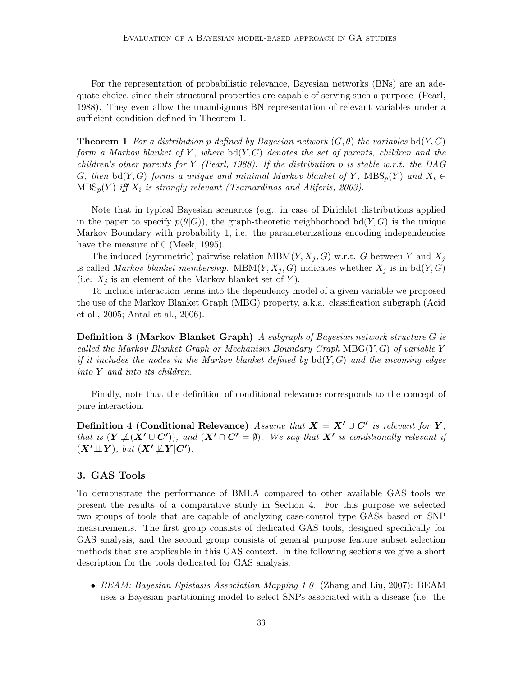For the representation of probabilistic relevance, Bayesian networks (BNs) are an adequate choice, since their structural properties are capable of serving such a purpose (Pearl, 1988). They even allow the unambiguous BN representation of relevant variables under a sufficient condition defined in Theorem 1.

**Theorem 1** For a distribution p defined by Bayesian network  $(G, \theta)$  the variables bd(Y, G) *form a Markov blanket of* Y *, where* bd(Y, G) *denotes the set of parents, children and the children's other parents for* Y *(Pearl, 1988). If the distribution* p *is stable w.r.t. the DAG* G, then  $\text{bd}(Y, G)$  forms a unique and minimal Markov blanket of Y,  $\text{MBS}_p(Y)$  and  $X_i \in$  $\text{MBS}_p(Y)$  *iff*  $X_i$  *is strongly relevant (Tsamardinos and Aliferis, 2003).* 

Note that in typical Bayesian scenarios (e.g., in case of Dirichlet distributions applied in the paper to specify  $p(\theta|G)$ , the graph-theoretic neighborhood bd(Y, G) is the unique Markov Boundary with probability 1, i.e. the parameterizations encoding independencies have the measure of 0 (Meek, 1995).

The induced (symmetric) pairwise relation  $MBM(Y, X_j, G)$  w.r.t. G between Y and  $X_j$ is called *Markov blanket membership*. MBM $(Y, X_j, G)$  indicates whether  $X_j$  is in bd $(Y, G)$ (i.e.  $X_i$  is an element of the Markov blanket set of Y).

To include interaction terms into the dependency model of a given variable we proposed the use of the Markov Blanket Graph (MBG) property, a.k.a. classification subgraph (Acid et al., 2005; Antal et al., 2006).

Definition 3 (Markov Blanket Graph) *A subgraph of Bayesian network structure* G *is called the Markov Blanket Graph or Mechanism Boundary Graph* MBG(Y, G) *of variable* Y *if it includes the nodes in the Markov blanket defined by* bd(Y, G) *and the incoming edges into* Y *and into its children.*

Finally, note that the definition of conditional relevance corresponds to the concept of pure interaction.

Definition 4 (Conditional Relevance) *Assume that*  $X = X' \cup C'$  *is relevant for* Y, *that is*  $(Y \nperp (X' \cup C'))$ *, and*  $(X' \cap C' = \emptyset)$ *. We say that*  $X'$  *is conditionally relevant if*  $(X' \perp \!\!\! \perp Y)$ *, but*  $(X' \not\!\! \perp Y' \vert C')$ *.* 

#### 3. GAS Tools

To demonstrate the performance of BMLA compared to other available GAS tools we present the results of a comparative study in Section 4. For this purpose we selected two groups of tools that are capable of analyzing case-control type GASs based on SNP measurements. The first group consists of dedicated GAS tools, designed specifically for GAS analysis, and the second group consists of general purpose feature subset selection methods that are applicable in this GAS context. In the following sections we give a short description for the tools dedicated for GAS analysis.

• *BEAM: Bayesian Epistasis Association Mapping 1.0* (Zhang and Liu, 2007): BEAM uses a Bayesian partitioning model to select SNPs associated with a disease (i.e. the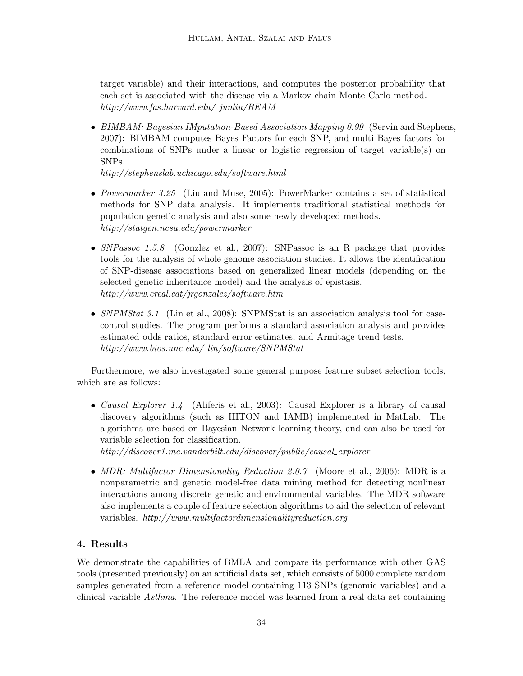target variable) and their interactions, and computes the posterior probability that each set is associated with the disease via a Markov chain Monte Carlo method. *http://www.fas.harvard.edu/ junliu/BEAM*

• *BIMBAM: Bayesian IMputation-Based Association Mapping 0.99* (Servin and Stephens, 2007): BIMBAM computes Bayes Factors for each SNP, and multi Bayes factors for combinations of SNPs under a linear or logistic regression of target variable(s) on SNPs.

*http://stephenslab.uchicago.edu/software.html*

- *Powermarker 3.25* (Liu and Muse, 2005): PowerMarker contains a set of statistical methods for SNP data analysis. It implements traditional statistical methods for population genetic analysis and also some newly developed methods. *http://statgen.ncsu.edu/powermarker*
- *SNPassoc 1.5.8* (Gonzlez et al., 2007): SNPassoc is an R package that provides tools for the analysis of whole genome association studies. It allows the identification of SNP-disease associations based on generalized linear models (depending on the selected genetic inheritance model) and the analysis of epistasis. *http://www.creal.cat/jrgonzalez/software.htm*
- *SNPMStat 3.1* (Lin et al., 2008): SNPMStat is an association analysis tool for casecontrol studies. The program performs a standard association analysis and provides estimated odds ratios, standard error estimates, and Armitage trend tests. *http://www.bios.unc.edu/ lin/software/SNPMStat*

Furthermore, we also investigated some general purpose feature subset selection tools, which are as follows:

• *Causal Explorer 1.4* (Aliferis et al., 2003): Causal Explorer is a library of causal discovery algorithms (such as HITON and IAMB) implemented in MatLab. The algorithms are based on Bayesian Network learning theory, and can also be used for variable selection for classification.

*http://discover1.mc.vanderbilt.edu/discover/public/causal explorer*

• *MDR: Multifactor Dimensionality Reduction 2.0.7* (Moore et al., 2006): MDR is a nonparametric and genetic model-free data mining method for detecting nonlinear interactions among discrete genetic and environmental variables. The MDR software also implements a couple of feature selection algorithms to aid the selection of relevant variables. *http://www.multifactordimensionalityreduction.org*

# 4. Results

We demonstrate the capabilities of BMLA and compare its performance with other GAS tools (presented previously) on an artificial data set, which consists of 5000 complete random samples generated from a reference model containing 113 SNPs (genomic variables) and a clinical variable *Asthma*. The reference model was learned from a real data set containing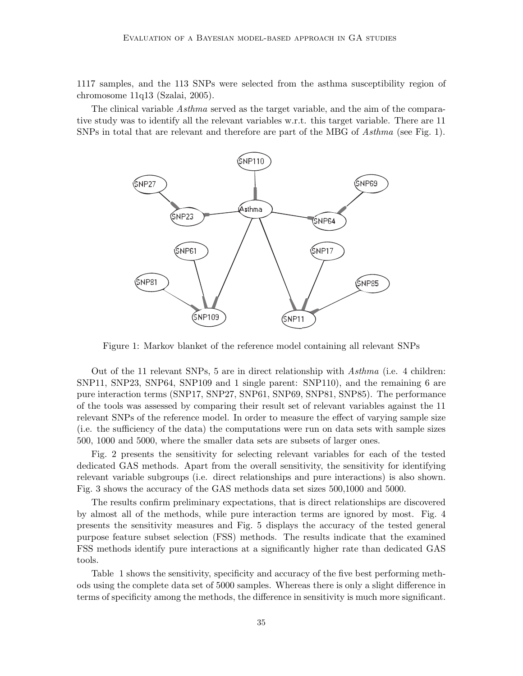1117 samples, and the 113 SNPs were selected from the asthma susceptibility region of chromosome 11q13 (Szalai, 2005).

The clinical variable *Asthma* served as the target variable, and the aim of the comparative study was to identify all the relevant variables w.r.t. this target variable. There are 11 SNPs in total that are relevant and therefore are part of the MBG of *Asthma* (see Fig. 1).



Figure 1: Markov blanket of the reference model containing all relevant SNPs

Out of the 11 relevant SNPs, 5 are in direct relationship with *Asthma* (i.e. 4 children: SNP11, SNP23, SNP64, SNP109 and 1 single parent: SNP110), and the remaining 6 are pure interaction terms (SNP17, SNP27, SNP61, SNP69, SNP81, SNP85). The performance of the tools was assessed by comparing their result set of relevant variables against the 11 relevant SNPs of the reference model. In order to measure the effect of varying sample size (i.e. the sufficiency of the data) the computations were run on data sets with sample sizes 500, 1000 and 5000, where the smaller data sets are subsets of larger ones.

Fig. 2 presents the sensitivity for selecting relevant variables for each of the tested dedicated GAS methods. Apart from the overall sensitivity, the sensitivity for identifying relevant variable subgroups (i.e. direct relationships and pure interactions) is also shown. Fig. 3 shows the accuracy of the GAS methods data set sizes 500,1000 and 5000.

The results confirm preliminary expectations, that is direct relationships are discovered by almost all of the methods, while pure interaction terms are ignored by most. Fig. 4 presents the sensitivity measures and Fig. 5 displays the accuracy of the tested general purpose feature subset selection (FSS) methods. The results indicate that the examined FSS methods identify pure interactions at a significantly higher rate than dedicated GAS tools.

Table 1 shows the sensitivity, specificity and accuracy of the five best performing methods using the complete data set of 5000 samples. Whereas there is only a slight difference in terms of specificity among the methods, the difference in sensitivity is much more significant.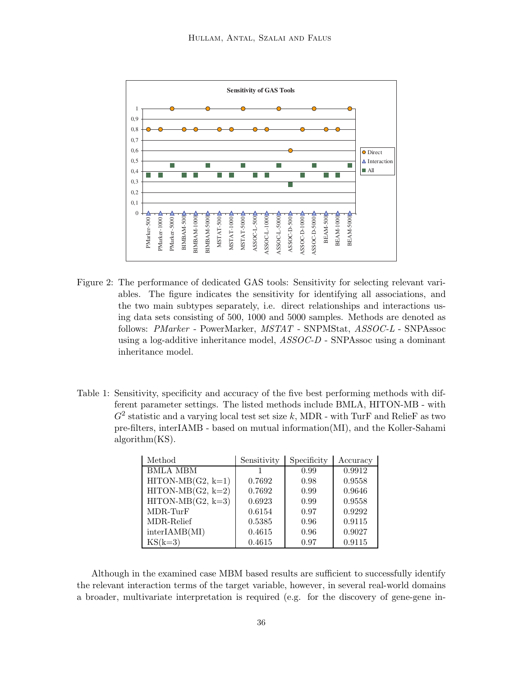

- Figure 2: The performance of dedicated GAS tools: Sensitivity for selecting relevant variables. The figure indicates the sensitivity for identifying all associations, and the two main subtypes separately, i.e. direct relationships and interactions using data sets consisting of 500, 1000 and 5000 samples. Methods are denoted as follows: *PMarker* - PowerMarker, *MSTAT* - SNPMStat, *ASSOC-L* - SNPAssoc using a log-additive inheritance model, *ASSOC-D* - SNPAssoc using a dominant inheritance model.
- Table 1: Sensitivity, specificity and accuracy of the five best performing methods with different parameter settings. The listed methods include BMLA, HITON-MB - with  $G^2$  statistic and a varying local test set size k, MDR - with TurF and RelieF as two pre-filters, interIAMB - based on mutual information(MI), and the Koller-Sahami algorithm(KS).

| Method              | Sensitivity | Specificity | Accuracy |
|---------------------|-------------|-------------|----------|
| <b>BMLA MBM</b>     |             | 0.99        | 0.9912   |
| $HITON-MB(G2, k=1)$ | 0.7692      | 0.98        | 0.9558   |
| $HITON-MB(G2, k=2)$ | 0.7692      | 0.99        | 0.9646   |
| $HITON-MB(G2, k=3)$ | 0.6923      | 0.99        | 0.9558   |
| MDR-TurF            | 0.6154      | 0.97        | 0.9292   |
| MDR-Relief          | 0.5385      | 0.96        | 0.9115   |
| interIAMB(MI)       | 0.4615      | 0.96        | 0.9027   |
| $KS(k=3)$           | 0.4615      | 0.97        | 0.9115   |

Although in the examined case MBM based results are sufficient to successfully identify the relevant interaction terms of the target variable, however, in several real-world domains a broader, multivariate interpretation is required (e.g. for the discovery of gene-gene in-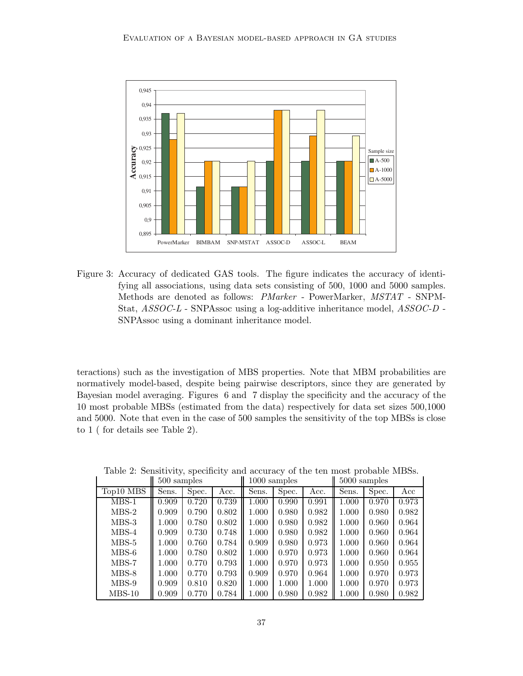

Figure 3: Accuracy of dedicated GAS tools. The figure indicates the accuracy of identifying all associations, using data sets consisting of 500, 1000 and 5000 samples. Methods are denoted as follows: *PMarker* - PowerMarker, *MSTAT* - SNPM-Stat, *ASSOC-L* - SNPAssoc using a log-additive inheritance model, *ASSOC-D* - SNPAssoc using a dominant inheritance model.

teractions) such as the investigation of MBS properties. Note that MBM probabilities are normatively model-based, despite being pairwise descriptors, since they are generated by Bayesian model averaging. Figures 6 and 7 display the specificity and the accuracy of the 10 most probable MBSs (estimated from the data) respectively for data set sizes 500,1000 and 5000. Note that even in the case of 500 samples the sensitivity of the top MBSs is close to 1 ( for details see Table 2).

|           | 500 samples |       |       | 1000 samples |       |       | $5000$ samples |       |       |
|-----------|-------------|-------|-------|--------------|-------|-------|----------------|-------|-------|
| Top10 MBS | Sens.       | Spec. | Acc.  | Sens.        | Spec. | Acc.  | Sens.          | Spec. | Acc   |
| $MBS-1$   | 0.909       | 0.720 | 0.739 | 1.000        | 0.990 | 0.991 | 1.000          | 0.970 | 0.973 |
| $MBS-2$   | 0.909       | 0.790 | 0.802 | 1.000        | 0.980 | 0.982 | 1.000          | 0.980 | 0.982 |
| $MBS-3$   | 1.000       | 0.780 | 0.802 | 1.000        | 0.980 | 0.982 | 1.000          | 0.960 | 0.964 |
| $MBS-4$   | 0.909       | 0.730 | 0.748 | 1.000        | 0.980 | 0.982 | 1.000          | 0.960 | 0.964 |
| $MBS-5$   | 1.000       | 0.760 | 0.784 | 0.909        | 0.980 | 0.973 | 1.000          | 0.960 | 0.964 |
| $MBS-6$   | 1.000       | 0.780 | 0.802 | 1.000        | 0.970 | 0.973 | 1.000          | 0.960 | 0.964 |
| $MBS-7$   | 1.000       | 0.770 | 0.793 | 1.000        | 0.970 | 0.973 | 1.000          | 0.950 | 0.955 |
| $MBS-8$   | 1.000       | 0.770 | 0.793 | 0.909        | 0.970 | 0.964 | 1.000          | 0.970 | 0.973 |
| $MBS-9$   | 0.909       | 0.810 | 0.820 | 1.000        | 1.000 | 1.000 | 1.000          | 0.970 | 0.973 |
| $MBS-10$  | 0.909       | 0.770 | 0.784 | 1.000        | 0.980 | 0.982 | 1.000          | 0.980 | 0.982 |

Table 2: Sensitivity, specificity and accuracy of the ten most probable MBSs.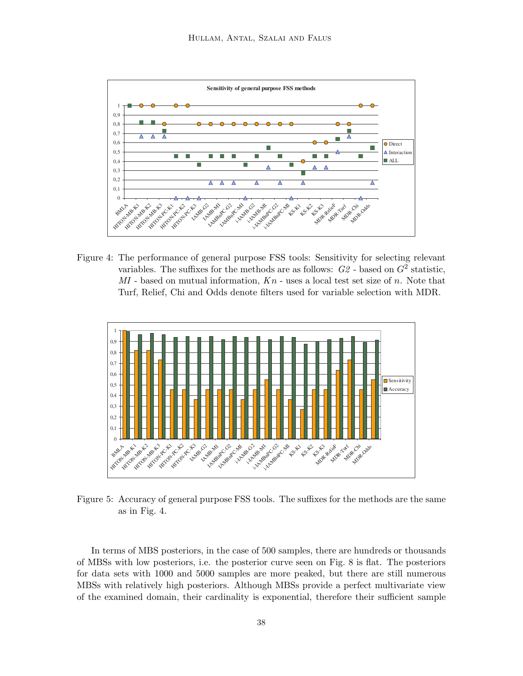

Figure 4: The performance of general purpose FSS tools: Sensitivity for selecting relevant variables. The suffixes for the methods are as follows:  $G2$  - based on  $G^2$  statistic, *MI* - based on mutual information, *K*n - uses a local test set size of n. Note that Turf, Relief, Chi and Odds denote filters used for variable selection with MDR.



Figure 5: Accuracy of general purpose FSS tools. The suffixes for the methods are the same as in Fig. 4.

In terms of MBS posteriors, in the case of 500 samples, there are hundreds or thousands of MBSs with low posteriors, i.e. the posterior curve seen on Fig. 8 is flat. The posteriors for data sets with 1000 and 5000 samples are more peaked, but there are still numerous MBSs with relatively high posteriors. Although MBSs provide a perfect multivariate view of the examined domain, their cardinality is exponential, therefore their sufficient sample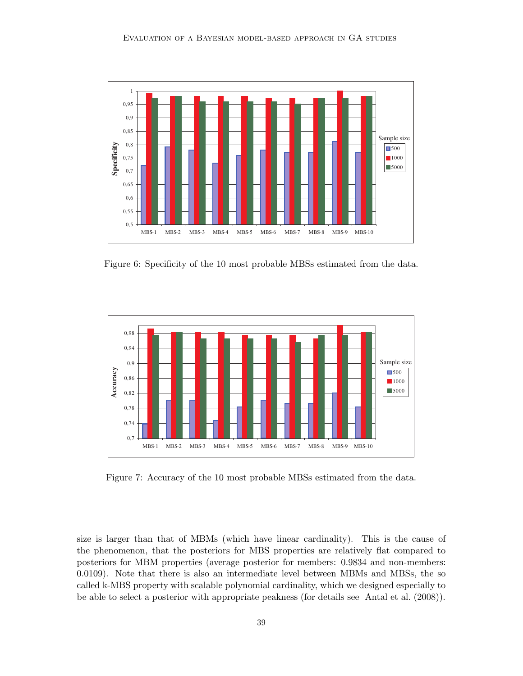

Figure 6: Specificity of the 10 most probable MBSs estimated from the data.



Figure 7: Accuracy of the 10 most probable MBSs estimated from the data.

size is larger than that of MBMs (which have linear cardinality). This is the cause of the phenomenon, that the posteriors for MBS properties are relatively flat compared to posteriors for MBM properties (average posterior for members: 0.9834 and non-members: 0.0109). Note that there is also an intermediate level between MBMs and MBSs, the so called k-MBS property with scalable polynomial cardinality, which we designed especially to be able to select a posterior with appropriate peakness (for details see Antal et al. (2008)).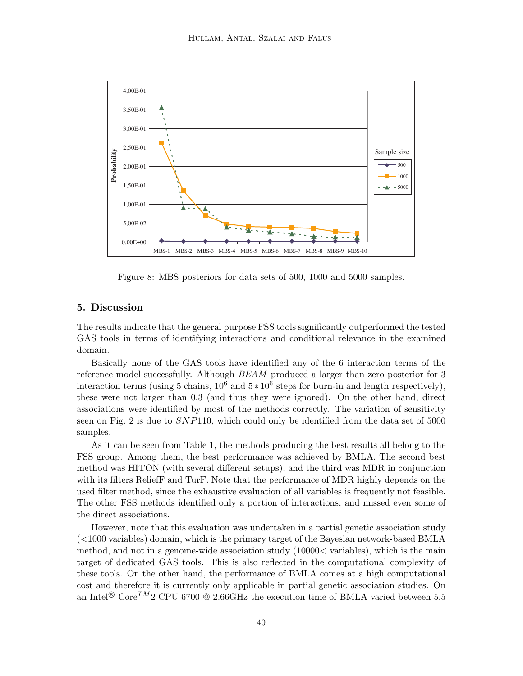

Figure 8: MBS posteriors for data sets of 500, 1000 and 5000 samples.

### 5. Discussion

The results indicate that the general purpose FSS tools significantly outperformed the tested GAS tools in terms of identifying interactions and conditional relevance in the examined domain.

Basically none of the GAS tools have identified any of the 6 interaction terms of the reference model successfully. Although *BEAM* produced a larger than zero posterior for 3 interaction terms (using 5 chains,  $10^6$  and  $5*10^6$  steps for burn-in and length respectively), these were not larger than 0.3 (and thus they were ignored). On the other hand, direct associations were identified by most of the methods correctly. The variation of sensitivity seen on Fig. 2 is due to SNP110, which could only be identified from the data set of 5000 samples.

As it can be seen from Table 1, the methods producing the best results all belong to the FSS group. Among them, the best performance was achieved by BMLA. The second best method was HITON (with several different setups), and the third was MDR in conjunction with its filters ReliefF and TurF. Note that the performance of MDR highly depends on the used filter method, since the exhaustive evaluation of all variables is frequently not feasible. The other FSS methods identified only a portion of interactions, and missed even some of the direct associations.

However, note that this evaluation was undertaken in a partial genetic association study (<1000 variables) domain, which is the primary target of the Bayesian network-based BMLA method, and not in a genome-wide association study  $(10000<$  variables), which is the main target of dedicated GAS tools. This is also reflected in the computational complexity of these tools. On the other hand, the performance of BMLA comes at a high computational cost and therefore it is currently only applicable in partial genetic association studies. On an Intel<sup>®</sup> Core<sup>TM</sup>2 CPU 6700 <sup>®</sup> 2.66GHz the execution time of BMLA varied between 5.5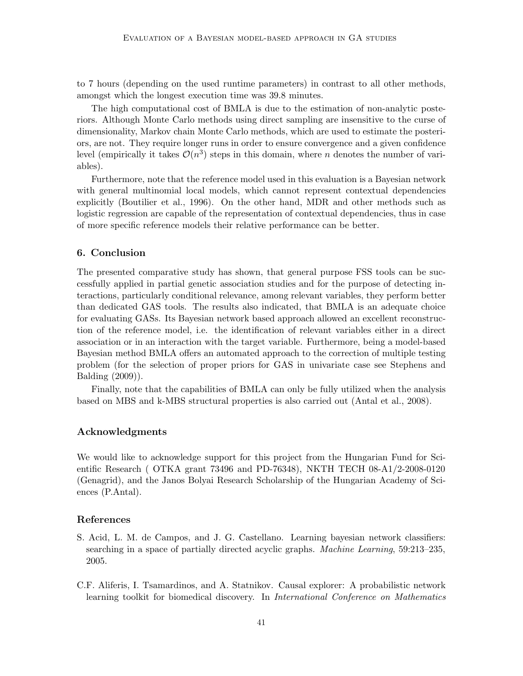to 7 hours (depending on the used runtime parameters) in contrast to all other methods, amongst which the longest execution time was 39.8 minutes.

The high computational cost of BMLA is due to the estimation of non-analytic posteriors. Although Monte Carlo methods using direct sampling are insensitive to the curse of dimensionality, Markov chain Monte Carlo methods, which are used to estimate the posteriors, are not. They require longer runs in order to ensure convergence and a given confidence level (empirically it takes  $\mathcal{O}(n^3)$  steps in this domain, where n denotes the number of variables).

Furthermore, note that the reference model used in this evaluation is a Bayesian network with general multinomial local models, which cannot represent contextual dependencies explicitly (Boutilier et al., 1996). On the other hand, MDR and other methods such as logistic regression are capable of the representation of contextual dependencies, thus in case of more specific reference models their relative performance can be better.

### 6. Conclusion

The presented comparative study has shown, that general purpose FSS tools can be successfully applied in partial genetic association studies and for the purpose of detecting interactions, particularly conditional relevance, among relevant variables, they perform better than dedicated GAS tools. The results also indicated, that BMLA is an adequate choice for evaluating GASs. Its Bayesian network based approach allowed an excellent reconstruction of the reference model, i.e. the identification of relevant variables either in a direct association or in an interaction with the target variable. Furthermore, being a model-based Bayesian method BMLA offers an automated approach to the correction of multiple testing problem (for the selection of proper priors for GAS in univariate case see Stephens and Balding (2009)).

Finally, note that the capabilities of BMLA can only be fully utilized when the analysis based on MBS and k-MBS structural properties is also carried out (Antal et al., 2008).

#### Acknowledgments

We would like to acknowledge support for this project from the Hungarian Fund for Scientific Research ( OTKA grant 73496 and PD-76348), NKTH TECH 08-A1/2-2008-0120 (Genagrid), and the Janos Bolyai Research Scholarship of the Hungarian Academy of Sciences (P.Antal).

### References

- S. Acid, L. M. de Campos, and J. G. Castellano. Learning bayesian network classifiers: searching in a space of partially directed acyclic graphs. *Machine Learning*, 59:213–235, 2005.
- C.F. Aliferis, I. Tsamardinos, and A. Statnikov. Causal explorer: A probabilistic network learning toolkit for biomedical discovery. In *International Conference on Mathematics*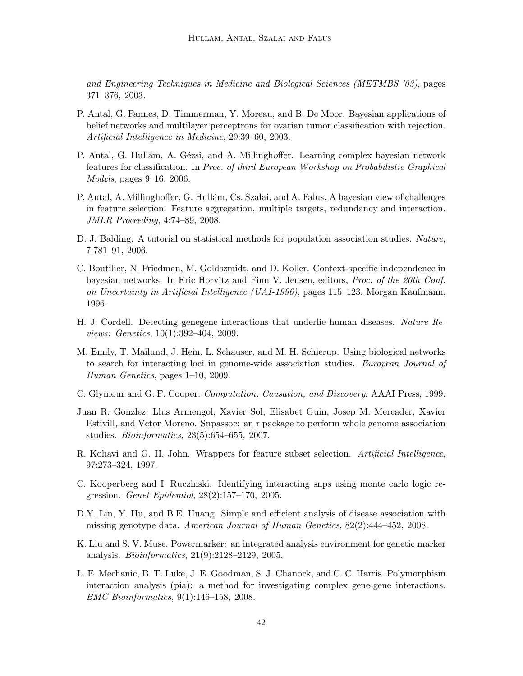*and Engineering Techniques in Medicine and Biological Sciences (METMBS '03)*, pages 371–376, 2003.

- P. Antal, G. Fannes, D. Timmerman, Y. Moreau, and B. De Moor. Bayesian applications of belief networks and multilayer perceptrons for ovarian tumor classification with rejection. *Artificial Intelligence in Medicine*, 29:39–60, 2003.
- P. Antal, G. Hullám, A. Gézsi, and A. Millinghoffer. Learning complex bayesian network features for classification. In *Proc. of third European Workshop on Probabilistic Graphical Models*, pages 9–16, 2006.
- P. Antal, A. Millinghoffer, G. Hullám, Cs. Szalai, and A. Falus. A bayesian view of challenges in feature selection: Feature aggregation, multiple targets, redundancy and interaction. *JMLR Proceeding*, 4:74–89, 2008.
- D. J. Balding. A tutorial on statistical methods for population association studies. *Nature*, 7:781–91, 2006.
- C. Boutilier, N. Friedman, M. Goldszmidt, and D. Koller. Context-specific independence in bayesian networks. In Eric Horvitz and Finn V. Jensen, editors, *Proc. of the 20th Conf. on Uncertainty in Artificial Intelligence (UAI-1996)*, pages 115–123. Morgan Kaufmann, 1996.
- H. J. Cordell. Detecting genegene interactions that underlie human diseases. *Nature Reviews: Genetics*, 10(1):392–404, 2009.
- M. Emily, T. Mailund, J. Hein, L. Schauser, and M. H. Schierup. Using biological networks to search for interacting loci in genome-wide association studies. *European Journal of Human Genetics*, pages 1–10, 2009.
- C. Glymour and G. F. Cooper. *Computation, Causation, and Discovery*. AAAI Press, 1999.
- Juan R. Gonzlez, Llus Armengol, Xavier Sol, Elisabet Guin, Josep M. Mercader, Xavier Estivill, and Vctor Moreno. Snpassoc: an r package to perform whole genome association studies. *Bioinformatics*, 23(5):654–655, 2007.
- R. Kohavi and G. H. John. Wrappers for feature subset selection. *Artificial Intelligence*, 97:273–324, 1997.
- C. Kooperberg and I. Ruczinski. Identifying interacting snps using monte carlo logic regression. *Genet Epidemiol*, 28(2):157–170, 2005.
- D.Y. Lin, Y. Hu, and B.E. Huang. Simple and efficient analysis of disease association with missing genotype data. *American Journal of Human Genetics*, 82(2):444–452, 2008.
- K. Liu and S. V. Muse. Powermarker: an integrated analysis environment for genetic marker analysis. *Bioinformatics*, 21(9):2128–2129, 2005.
- L. E. Mechanic, B. T. Luke, J. E. Goodman, S. J. Chanock, and C. C. Harris. Polymorphism interaction analysis (pia): a method for investigating complex gene-gene interactions. *BMC Bioinformatics*, 9(1):146–158, 2008.